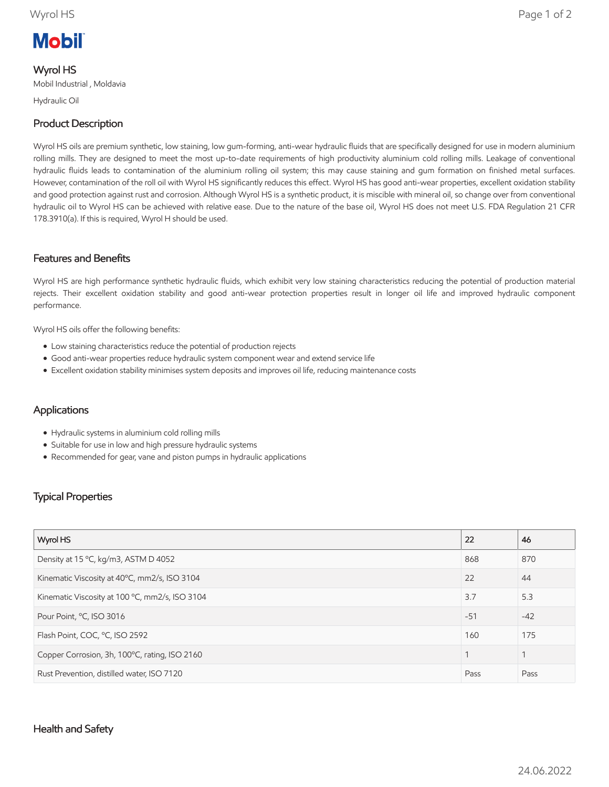# **Mobil**

### Wyrol HS

Mobil Industrial , Moldavia

Hydraulic Oil

# Product Description

Wyrol HS oils are premium synthetic, low staining, low gum-forming, anti-wear hydraulic fluids that are specifically designed for use in modern aluminium rolling mills. They are designed to meet the most up-to-date requirements of high productivity aluminium cold rolling mills. Leakage of conventional hydraulic fluids leads to contamination of the aluminium rolling oil system; this may cause staining and gum formation on finished metal surfaces. However, contamination of the roll oil with Wyrol HS significantly reduces this effect. Wyrol HS has good anti-wear properties, excellent oxidation stability and good protection against rust and corrosion. Although Wyrol HS is a synthetic product, it is miscible with mineral oil, so change over from conventional hydraulic oil to Wyrol HS can be achieved with relative ease. Due to the nature of the base oil, Wyrol HS does not meet U.S. FDA Regulation 21 CFR 178.3910(a). If this is required, Wyrol H should be used.

### Features and Benefits

Wyrol HS are high performance synthetic hydraulic fluids, which exhibit very low staining characteristics reducing the potential of production material rejects. Their excellent oxidation stability and good anti-wear protection properties result in longer oil life and improved hydraulic component performance.

Wyrol HS oils offer the following benefits:

- Low staining characteristics reduce the potential of production rejects
- Good anti-wear properties reduce hydraulic system component wear and extend service life
- Excellent oxidation stability minimises system deposits and improves oil life, reducing maintenance costs

# Applications

- Hydraulic systems in aluminium cold rolling mills
- Suitable for use in low and high pressure hydraulic systems
- Recommended for gear, vane and piston pumps in hydraulic applications

# Typical Properties

| Wyrol HS                                       | 22    | 46    |
|------------------------------------------------|-------|-------|
| Density at 15 °C, kg/m3, ASTM D 4052           | 868   | 870   |
| Kinematic Viscosity at 40°C, mm2/s, ISO 3104   | 22    | 44    |
| Kinematic Viscosity at 100 °C, mm2/s, ISO 3104 | 3.7   | 5.3   |
| Pour Point, °C, ISO 3016                       | $-51$ | $-42$ |
| Flash Point, COC, °C, ISO 2592                 | 160   | 175   |
| Copper Corrosion, 3h, 100°C, rating, ISO 2160  |       | 1     |
| Rust Prevention, distilled water, ISO 7120     | Pass  | Pass  |